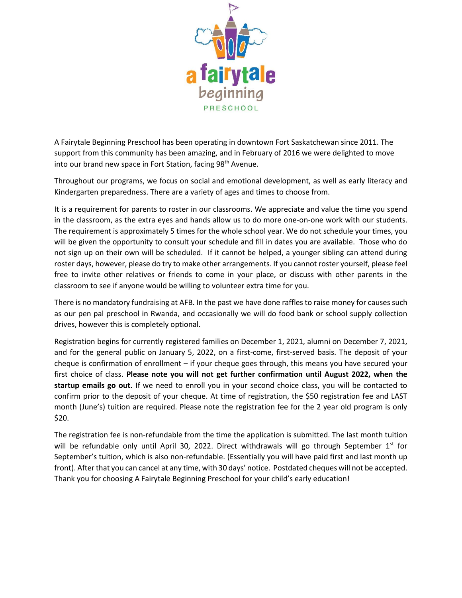

A Fairytale Beginning Preschool has been operating in downtown Fort Saskatchewan since 2011. The support from this community has been amazing, and in February of 2016 we were delighted to move into our brand new space in Fort Station, facing 98<sup>th</sup> Avenue.

Throughout our programs, we focus on social and emotional development, as well as early literacy and Kindergarten preparedness. There are a variety of ages and times to choose from.

It is a requirement for parents to roster in our classrooms. We appreciate and value the time you spend in the classroom, as the extra eyes and hands allow us to do more one-on-one work with our students. The requirement is approximately 5 times for the whole school year. We do not schedule your times, you will be given the opportunity to consult your schedule and fill in dates you are available. Those who do not sign up on their own will be scheduled. If it cannot be helped, a younger sibling can attend during roster days, however, please do try to make other arrangements. If you cannot roster yourself, please feel free to invite other relatives or friends to come in your place, or discuss with other parents in the classroom to see if anyone would be willing to volunteer extra time for you.

There is no mandatory fundraising at AFB. In the past we have done raffles to raise money for causes such as our pen pal preschool in Rwanda, and occasionally we will do food bank or school supply collection drives, however this is completely optional.

Registration begins for currently registered families on December 1, 2021, alumni on December 7, 2021, and for the general public on January 5, 2022, on a first-come, first-served basis. The deposit of your cheque is confirmation of enrollment – if your cheque goes through, this means you have secured your first choice of class. **Please note you will not get further confirmation until August 2022, when the startup emails go out.** If we need to enroll you in your second choice class, you will be contacted to confirm prior to the deposit of your cheque. At time of registration, the \$50 registration fee and LAST month (June's) tuition are required. Please note the registration fee for the 2 year old program is only \$20.

The registration fee is non-refundable from the time the application is submitted. The last month tuition will be refundable only until April 30, 2022. Direct withdrawals will go through September  $1^{st}$  for September's tuition, which is also non-refundable. (Essentially you will have paid first and last month up front). After that you can cancel at any time, with 30 days' notice. Postdated cheques will not be accepted. Thank you for choosing A Fairytale Beginning Preschool for your child's early education!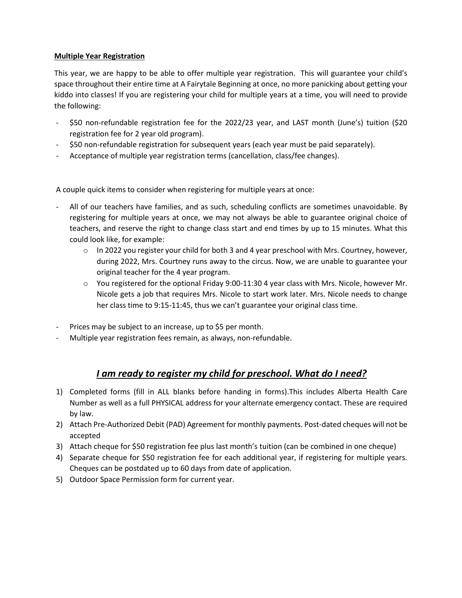## **Multiple Year Registration**

This year, we are happy to be able to offer multiple year registration. This will guarantee your child's space throughout their entire time at A Fairytale Beginning at once, no more panicking about getting your kiddo into classes! If you are registering your child for multiple years at a time, you will need to provide the following:

- \$50 non-refundable registration fee for the 2022/23 year, and LAST month (June's) tuition (\$20 registration fee for 2 year old program).
- \$50 non-refundable registration for subsequent years (each year must be paid separately).
- Acceptance of multiple year registration terms (cancellation, class/fee changes).

A couple quick items to consider when registering for multiple years at once:

- All of our teachers have families, and as such, scheduling conflicts are sometimes unavoidable. By registering for multiple years at once, we may not always be able to guarantee original choice of teachers, and reserve the right to change class start and end times by up to 15 minutes. What this could look like, for example:
	- $\circ$  In 2022 you register your child for both 3 and 4 year preschool with Mrs. Courtney, however, during 2022, Mrs. Courtney runs away to the circus. Now, we are unable to guarantee your original teacher for the 4 year program.
	- $\circ$  You registered for the optional Friday 9:00-11:30 4 year class with Mrs. Nicole, however Mr. Nicole gets a job that requires Mrs. Nicole to start work later. Mrs. Nicole needs to change her class time to 9:15-11:45, thus we can't guarantee your original class time.
- Prices may be subject to an increase, up to \$5 per month.
- Multiple year registration fees remain, as always, non-refundable.

# *I am ready to register my child for preschool. What do I need?*

- 1) Completed forms (fill in ALL blanks before handing in forms).This includes Alberta Health Care Number as well as a full PHYSICAL address for your alternate emergency contact. These are required by law.
- 2) Attach Pre-Authorized Debit (PAD) Agreement for monthly payments. Post-dated cheques will not be accepted
- 3) Attach cheque for \$50 registration fee plus last month's tuition (can be combined in one cheque)
- 4) Separate cheque for \$50 registration fee for each additional year, if registering for multiple years. Cheques can be postdated up to 60 days from date of application.
- 5) Outdoor Space Permission form for current year.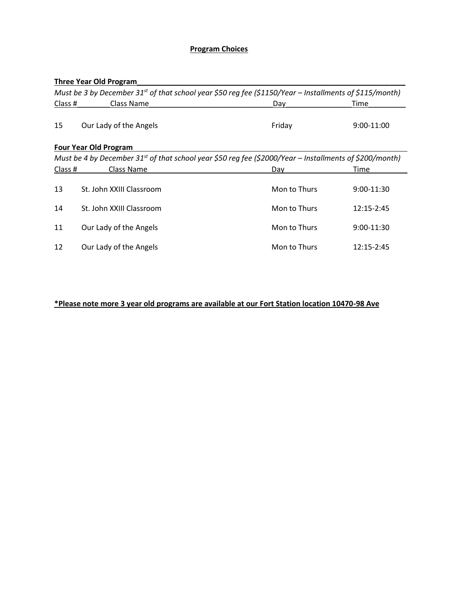## **Program Choices**

## **Three Year Old Program\_\_\_\_\_\_\_\_\_\_\_\_\_\_\_\_\_\_\_\_\_\_\_\_\_\_\_\_\_\_\_\_\_\_\_\_\_\_\_\_\_\_\_\_\_\_\_\_\_\_\_\_\_\_\_\_\_\_\_\_\_\_\_\_\_**

| Must be 3 by December 31 <sup>st</sup> of that school year \$50 reg fee (\$1150/Year – Installments of \$115/month) |                                                                                                                     |              |              |  |  |
|---------------------------------------------------------------------------------------------------------------------|---------------------------------------------------------------------------------------------------------------------|--------------|--------------|--|--|
| Class #                                                                                                             | Class Name                                                                                                          | Day          | Time         |  |  |
| 15                                                                                                                  | Our Lady of the Angels                                                                                              | Friday       | 9:00-11:00   |  |  |
|                                                                                                                     | <b>Four Year Old Program</b>                                                                                        |              |              |  |  |
|                                                                                                                     | Must be 4 by December 31 <sup>st</sup> of that school year \$50 reg fee (\$2000/Year – Installments of \$200/month) |              |              |  |  |
| Class #                                                                                                             | Class Name                                                                                                          | Dav          | Time         |  |  |
| 13                                                                                                                  | St. John XXIII Classroom                                                                                            | Mon to Thurs | $9:00-11:30$ |  |  |
| 14                                                                                                                  | St. John XXIII Classroom                                                                                            | Mon to Thurs | 12:15-2:45   |  |  |
| 11                                                                                                                  | Our Lady of the Angels                                                                                              | Mon to Thurs | 9:00-11:30   |  |  |
| 12                                                                                                                  | Our Lady of the Angels                                                                                              | Mon to Thurs | 12:15-2:45   |  |  |

## **\*Please note more 3 year old programs are available at our Fort Station location 10470-98 Ave**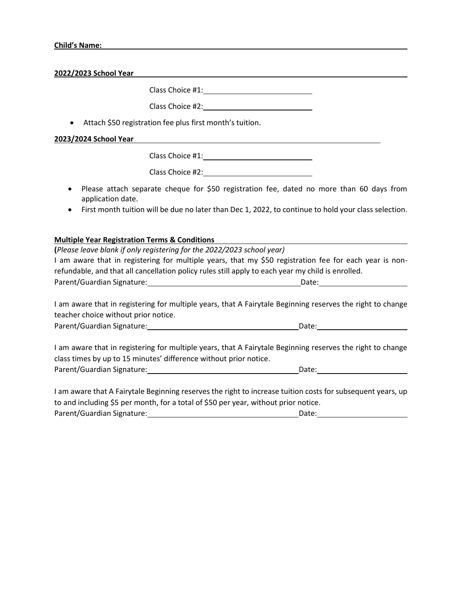**2022/2023 School Year**

Class Choice #1:

Class Choice #2:

Attach \$50 registration fee plus first month's tuition.

#### **2023/2024 School Year**

Class Choice #1:

Class Choice #2: Department of the Class Choice #2:

- Please attach separate cheque for \$50 registration fee, dated no more than 60 days from application date.
- First month tuition will be due no later than Dec 1, 2022, to continue to hold your class selection.

### **Multiple Year Registration Terms & Conditions**

| (Please leave blank if only registering for the 2022/2023 school year)                            |                                                                                                        |
|---------------------------------------------------------------------------------------------------|--------------------------------------------------------------------------------------------------------|
|                                                                                                   | I am aware that in registering for multiple years, that my \$50 registration fee for each year is non- |
| refundable, and that all cancellation policy rules still apply to each year my child is enrolled. |                                                                                                        |
| Parent/Guardian Signature:                                                                        | Date:                                                                                                  |
|                                                                                                   |                                                                                                        |

I am aware that in registering for multiple years, that A Fairytale Beginning reserves the right to change teacher choice without prior notice.

| Parent/Guardian Signature: | Date: |  |
|----------------------------|-------|--|
|                            |       |  |

I am aware that in registering for multiple years, that A Fairytale Beginning reserves the right to change class times by up to 15 minutes' difference without prior notice. Parent/Guardian Signature: Date:

I am aware that A Fairytale Beginning reserves the right to increase tuition costs for subsequent years, up to and including \$5 per month, for a total of \$50 per year, without prior notice.

| Parent/Guardian Signature: | Date: |  |
|----------------------------|-------|--|
|                            |       |  |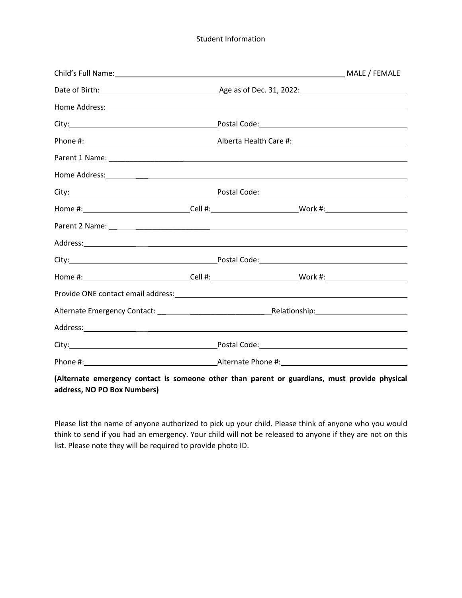Student Information

| Home #: _______________________________Cell #: ____________________________Work #: ___________________________                                                                                                                 |  |  |  |
|--------------------------------------------------------------------------------------------------------------------------------------------------------------------------------------------------------------------------------|--|--|--|
|                                                                                                                                                                                                                                |  |  |  |
| Address: Andreas Address: Address: Address: Address: Address: Address: Address: Address: Address: Address: Address: Address: Address: Address: Address: Address: Address: Address: Address: Address: Address: Address: Address |  |  |  |
| City: City: City: City: City: City: City: City: City: City: City: City: City: City: City: City: City: City: City: City: City: City: City: City: City: City: City: City: City: City: City: City: City: City: City: City: City:  |  |  |  |
| Home #:________________________________Cell #:____________________________Work #:________________________                                                                                                                      |  |  |  |
|                                                                                                                                                                                                                                |  |  |  |
|                                                                                                                                                                                                                                |  |  |  |
|                                                                                                                                                                                                                                |  |  |  |
|                                                                                                                                                                                                                                |  |  |  |
|                                                                                                                                                                                                                                |  |  |  |

## **(Alternate emergency contact is someone other than parent or guardians, must provide physical address, NO PO Box Numbers)**

Please list the name of anyone authorized to pick up your child. Please think of anyone who you would think to send if you had an emergency. Your child will not be released to anyone if they are not on this list. Please note they will be required to provide photo ID.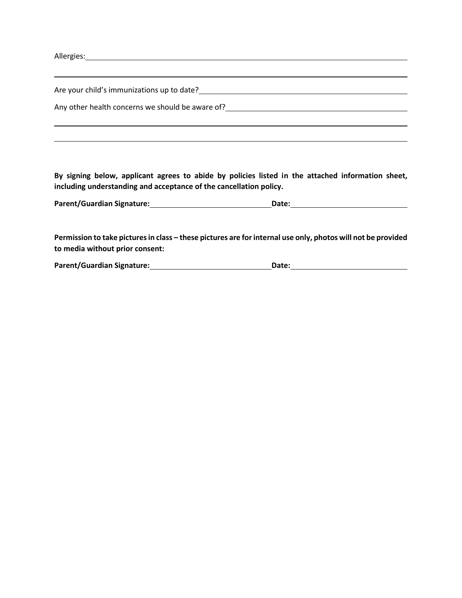Allergies: and the contract of the contract of the contract of the contract of the contract of the contract of the contract of the contract of the contract of the contract of the contract of the contract of the contract of

Are your child's immunizations up to date?<br>
<u>
and the summand contract of the summand contract of the summands of the summands of the summands of the summands of the summands of the summands of the summands of the summands</u>

Any other health concerns we should be aware of?<br>
<u>Letter and a summan concernsum of the same of</u>  $\frac{1}{2}$ 

**By signing below, applicant agrees to abide by policies listed in the attached information sheet, including understanding and acceptance of the cancellation policy.**

| <b>Parent/Guardian Signature:</b> | Date: |  |
|-----------------------------------|-------|--|
|                                   |       |  |

**Permission to take pictures in class – these pictures are for internal use only, photos will not be provided to media without prior consent:**

| <b>Parent/Guardian Signature:</b> | Date: |
|-----------------------------------|-------|
|-----------------------------------|-------|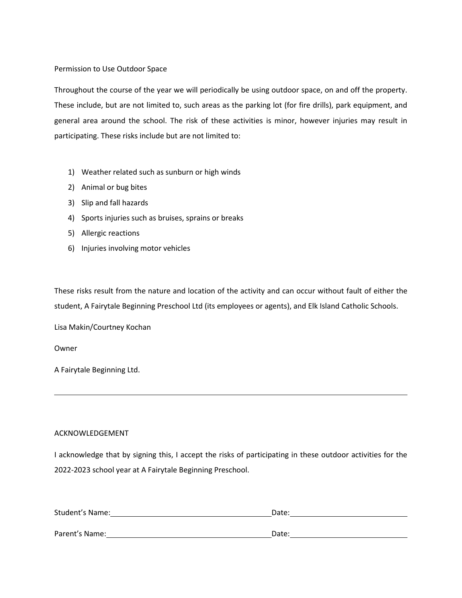#### Permission to Use Outdoor Space

Throughout the course of the year we will periodically be using outdoor space, on and off the property. These include, but are not limited to, such areas as the parking lot (for fire drills), park equipment, and general area around the school. The risk of these activities is minor, however injuries may result in participating. These risks include but are not limited to:

- 1) Weather related such as sunburn or high winds
- 2) Animal or bug bites
- 3) Slip and fall hazards
- 4) Sports injuries such as bruises, sprains or breaks
- 5) Allergic reactions
- 6) Injuries involving motor vehicles

These risks result from the nature and location of the activity and can occur without fault of either the student, A Fairytale Beginning Preschool Ltd (its employees or agents), and Elk Island Catholic Schools.

Lisa Makin/Courtney Kochan

Owner

A Fairytale Beginning Ltd.

### ACKNOWLEDGEMENT

I acknowledge that by signing this, I accept the risks of participating in these outdoor activities for the 2022-2023 school year at A Fairytale Beginning Preschool.

| Student's Name: | Date: |
|-----------------|-------|
|                 |       |
| Parent's Name:  | Date: |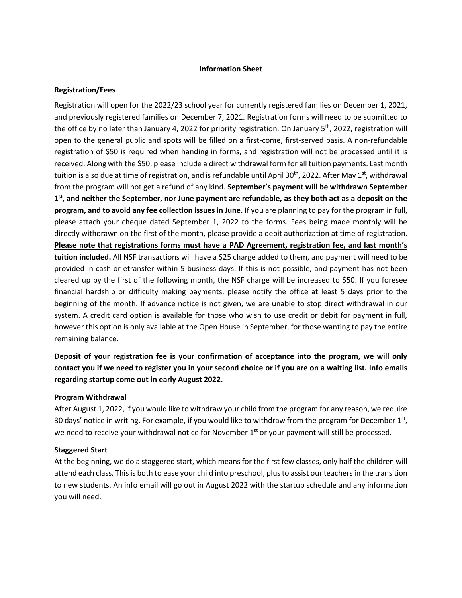## **Information Sheet**

#### **Registration/Fees**

Registration will open for the 2022/23 school year for currently registered families on December 1, 2021, and previously registered families on December 7, 2021. Registration forms will need to be submitted to the office by no later than January 4, 2022 for priority registration. On January 5<sup>th</sup>, 2022, registration will open to the general public and spots will be filled on a first-come, first-served basis. A non-refundable registration of \$50 is required when handing in forms, and registration will not be processed until it is received. Along with the \$50, please include a direct withdrawal form for all tuition payments. Last month tuition is also due at time of registration, and is refundable until April 30<sup>th</sup>, 2022. After May 1<sup>st</sup>, withdrawal from the program will not get a refund of any kind. **September's payment will be withdrawn September 1 st, and neither the September, nor June payment are refundable, as they both act as a deposit on the program, and to avoid any fee collection issues in June.** If you are planning to pay for the program in full, please attach your cheque dated September 1, 2022 to the forms. Fees being made monthly will be directly withdrawn on the first of the month, please provide a debit authorization at time of registration. **Please note that registrations forms must have a PAD Agreement, registration fee, and last month's tuition included.** All NSF transactions will have a \$25 charge added to them, and payment will need to be provided in cash or etransfer within 5 business days. If this is not possible, and payment has not been cleared up by the first of the following month, the NSF charge will be increased to \$50. If you foresee financial hardship or difficulty making payments, please notify the office at least 5 days prior to the beginning of the month. If advance notice is not given, we are unable to stop direct withdrawal in our system. A credit card option is available for those who wish to use credit or debit for payment in full, however this option is only available at the Open House in September, for those wanting to pay the entire remaining balance.

**Deposit of your registration fee is your confirmation of acceptance into the program, we will only contact you if we need to register you in your second choice or if you are on a waiting list. Info emails regarding startup come out in early August 2022.**

### **Program Withdrawal**

After August 1, 2022, if you would like to withdraw your child from the program for any reason, we require 30 days' notice in writing. For example, if you would like to withdraw from the program for December 1st, we need to receive your withdrawal notice for November 1<sup>st</sup> or your payment will still be processed.

#### **Staggered Start**

At the beginning, we do a staggered start, which means for the first few classes, only half the children will attend each class. This is both to ease your child into preschool, plus to assist our teachers in the transition to new students. An info email will go out in August 2022 with the startup schedule and any information you will need.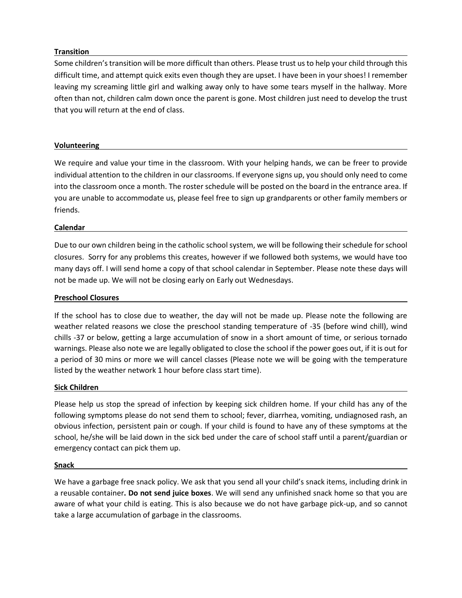## **Transition**

Some children's transition will be more difficult than others. Please trust us to help your child through this difficult time, and attempt quick exits even though they are upset. I have been in your shoes! I remember leaving my screaming little girl and walking away only to have some tears myself in the hallway. More often than not, children calm down once the parent is gone. Most children just need to develop the trust that you will return at the end of class.

## **Volunteering**

We require and value your time in the classroom. With your helping hands, we can be freer to provide individual attention to the children in our classrooms. If everyone signs up, you should only need to come into the classroom once a month. The roster schedule will be posted on the board in the entrance area. If you are unable to accommodate us, please feel free to sign up grandparents or other family members or friends.

### **Calendar**

Due to our own children being in the catholic school system, we will be following their schedule for school closures. Sorry for any problems this creates, however if we followed both systems, we would have too many days off. I will send home a copy of that school calendar in September. Please note these days will not be made up. We will not be closing early on Early out Wednesdays.

## **Preschool Closures**

If the school has to close due to weather, the day will not be made up. Please note the following are weather related reasons we close the preschool standing temperature of -35 (before wind chill), wind chills -37 or below, getting a large accumulation of snow in a short amount of time, or serious tornado warnings. Please also note we are legally obligated to close the school if the power goes out, if it is out for a period of 30 mins or more we will cancel classes (Please note we will be going with the temperature listed by the weather network 1 hour before class start time).

### **Sick Children**

Please help us stop the spread of infection by keeping sick children home. If your child has any of the following symptoms please do not send them to school; fever, diarrhea, vomiting, undiagnosed rash, an obvious infection, persistent pain or cough. If your child is found to have any of these symptoms at the school, he/she will be laid down in the sick bed under the care of school staff until a parent/guardian or emergency contact can pick them up.

#### **Snack**

We have a garbage free snack policy. We ask that you send all your child's snack items, including drink in a reusable container**. Do not send juice boxes**. We will send any unfinished snack home so that you are aware of what your child is eating. This is also because we do not have garbage pick-up, and so cannot take a large accumulation of garbage in the classrooms.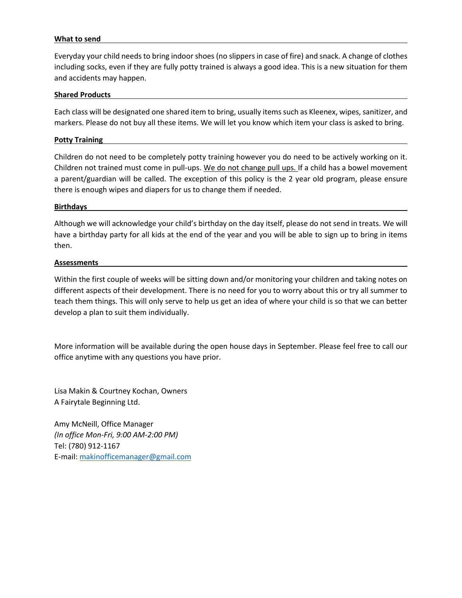#### **What to send**

Everyday your child needs to bring indoor shoes (no slippers in case of fire) and snack. A change of clothes including socks, even if they are fully potty trained is always a good idea. This is a new situation for them and accidents may happen.

#### **Shared Products**

Each class will be designated one shared item to bring, usually items such as Kleenex, wipes, sanitizer, and markers. Please do not buy all these items. We will let you know which item your class is asked to bring.

#### **Potty Training**

Children do not need to be completely potty training however you do need to be actively working on it. Children not trained must come in pull-ups. We do not change pull ups. If a child has a bowel movement a parent/guardian will be called. The exception of this policy is the 2 year old program, please ensure there is enough wipes and diapers for us to change them if needed.

#### **Birthdays**

Although we will acknowledge your child's birthday on the day itself, please do not send in treats. We will have a birthday party for all kids at the end of the year and you will be able to sign up to bring in items then.

#### **Assessments**

Within the first couple of weeks will be sitting down and/or monitoring your children and taking notes on different aspects of their development. There is no need for you to worry about this or try all summer to teach them things. This will only serve to help us get an idea of where your child is so that we can better develop a plan to suit them individually.

More information will be available during the open house days in September. Please feel free to call our office anytime with any questions you have prior.

Lisa Makin & Courtney Kochan, Owners A Fairytale Beginning Ltd.

Amy McNeill, Office Manager *(In office Mon-Fri, 9:00 AM-2:00 PM)* Tel: (780) 912-1167 E-mail: [makinofficemanager@gmail.com](mailto:makinofficemanager@gmail.com)